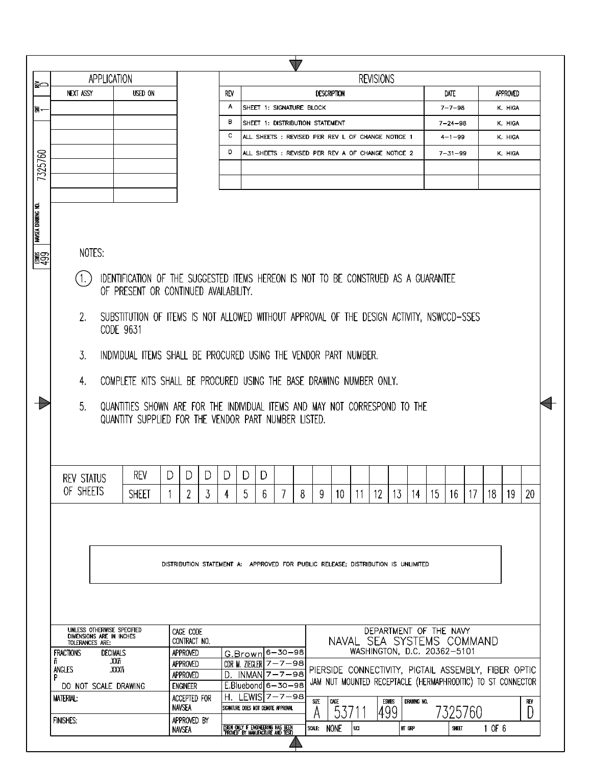|                           |                                                                                                                                           |              |                                                                                  |   |                 |   |                                                                          | $\sqrt{ }$ |                                                                                                                     |           |                                                          |    |             |    |                      |         |        |                     |     |
|---------------------------|-------------------------------------------------------------------------------------------------------------------------------------------|--------------|----------------------------------------------------------------------------------|---|-----------------|---|--------------------------------------------------------------------------|------------|---------------------------------------------------------------------------------------------------------------------|-----------|----------------------------------------------------------|----|-------------|----|----------------------|---------|--------|---------------------|-----|
| re                        | APPLICATION                                                                                                                               |              |                                                                                  |   |                 |   |                                                                          |            |                                                                                                                     |           | <b>REVISIONS</b>                                         |    |             |    |                      |         |        |                     |     |
|                           | <b>NEXT ASSY</b>                                                                                                                          | USED ON      |                                                                                  |   | <b>REV</b><br>A |   | SHEET 1: SIGNATURE BLOCK                                                 |            | <b>DESCRIPTION</b>                                                                                                  |           |                                                          |    |             |    | DATE<br>$7 - 7 - 98$ |         |        | APPROVED<br>K. HIGA |     |
| 통ㅡ                        |                                                                                                                                           |              |                                                                                  |   | в               |   | SHEET 1: DISTRIBUTION STATEMENT                                          |            |                                                                                                                     |           |                                                          |    |             |    | $7 - 24 - 98$        |         |        | K. HIGA             |     |
|                           |                                                                                                                                           |              |                                                                                  |   | с               |   | ALL SHEETS : REVISED PER REV L OF CHANGE NOTICE 1                        |            |                                                                                                                     |           |                                                          |    |             |    | $4 - 1 - 99$         |         |        | K. HIGA             |     |
|                           |                                                                                                                                           |              |                                                                                  |   | D               |   | ALL SHEETS : REVISED PER REV A OF CHANGE NOTICE 2                        |            |                                                                                                                     |           |                                                          |    |             |    | $7 - 31 - 99$        |         |        | K. HIGA             |     |
| 7325760                   |                                                                                                                                           |              |                                                                                  |   |                 |   |                                                                          |            |                                                                                                                     |           |                                                          |    |             |    |                      |         |        |                     |     |
|                           |                                                                                                                                           |              |                                                                                  |   |                 |   |                                                                          |            |                                                                                                                     |           |                                                          |    |             |    |                      |         |        |                     |     |
|                           |                                                                                                                                           |              |                                                                                  |   |                 |   |                                                                          |            |                                                                                                                     |           |                                                          |    |             |    |                      |         |        |                     |     |
| <b>NAVSEA DRAWING NO.</b> |                                                                                                                                           |              |                                                                                  |   |                 |   |                                                                          |            |                                                                                                                     |           |                                                          |    |             |    |                      |         |        |                     |     |
|                           |                                                                                                                                           |              |                                                                                  |   |                 |   |                                                                          |            |                                                                                                                     |           |                                                          |    |             |    |                      |         |        |                     |     |
| <b>ESP</b>                | NOTES:                                                                                                                                    |              |                                                                                  |   |                 |   |                                                                          |            |                                                                                                                     |           |                                                          |    |             |    |                      |         |        |                     |     |
|                           | IDENTIFICATION OF THE SUGGESTED ITEMS HEREON IS NOT TO BE CONSTRUED AS A GUARANTEE<br>(1.)<br>OF PRESENT OR CONTINUED AVAILABILITY.       |              |                                                                                  |   |                 |   |                                                                          |            |                                                                                                                     |           |                                                          |    |             |    |                      |         |        |                     |     |
|                           | 2.<br>SUBSTITUTION OF ITEMS IS NOT ALLOWED WITHOUT APPROVAL OF THE DESIGN ACTIVITY, NSWCCD-SSES<br>CODE 9631                              |              |                                                                                  |   |                 |   |                                                                          |            |                                                                                                                     |           |                                                          |    |             |    |                      |         |        |                     |     |
|                           | 3.<br>INDIVIDUAL ITEMS SHALL BE PROCURED USING THE VENDOR PART NUMBER.                                                                    |              |                                                                                  |   |                 |   |                                                                          |            |                                                                                                                     |           |                                                          |    |             |    |                      |         |        |                     |     |
|                           | COMPLETE KITS SHALL BE PROCURED USING THE BASE DRAWING NUMBER ONLY.<br>4.                                                                 |              |                                                                                  |   |                 |   |                                                                          |            |                                                                                                                     |           |                                                          |    |             |    |                      |         |        |                     |     |
|                           | 5.<br>QUANTITIES SHOWN ARE FOR THE INDIVIDUAL ITEMS AND MAY NOT CORRESPOND TO THE<br>QUANTITY SUPPLIED FOR THE VENDOR PART NUMBER LISTED. |              |                                                                                  |   |                 |   |                                                                          |            |                                                                                                                     |           |                                                          |    |             |    |                      |         |        |                     |     |
|                           |                                                                                                                                           |              |                                                                                  |   |                 |   |                                                                          |            |                                                                                                                     |           |                                                          |    |             |    |                      |         |        |                     |     |
|                           | <b>REV STATUS</b>                                                                                                                         | <b>REV</b>   | D<br>D                                                                           | D | D               | D | D                                                                        |            |                                                                                                                     |           |                                                          |    |             |    |                      |         |        |                     |     |
|                           | OF SHEETS                                                                                                                                 | <b>SHEET</b> | 2                                                                                | 3 | 4               | 5 | 6                                                                        | 8          | 9<br>10                                                                                                             | -11       | 12                                                       | 13 | 14          | 15 | 16                   | -17     | 18     | 19                  | 20  |
|                           |                                                                                                                                           |              |                                                                                  |   |                 |   |                                                                          |            |                                                                                                                     |           |                                                          |    |             |    |                      |         |        |                     |     |
|                           |                                                                                                                                           |              |                                                                                  |   |                 |   |                                                                          |            |                                                                                                                     |           |                                                          |    |             |    |                      |         |        |                     |     |
|                           |                                                                                                                                           |              |                                                                                  |   |                 |   |                                                                          |            |                                                                                                                     |           |                                                          |    |             |    |                      |         |        |                     |     |
|                           |                                                                                                                                           |              | DISTRIBUTION STATEMENT A: APPROVED FOR PUBLIC RELEASE; DISTRIBUTION IS UNLIMITED |   |                 |   |                                                                          |            |                                                                                                                     |           |                                                          |    |             |    |                      |         |        |                     |     |
|                           |                                                                                                                                           |              |                                                                                  |   |                 |   |                                                                          |            |                                                                                                                     |           |                                                          |    |             |    |                      |         |        |                     |     |
|                           |                                                                                                                                           |              |                                                                                  |   |                 |   |                                                                          |            |                                                                                                                     |           |                                                          |    |             |    |                      |         |        |                     |     |
|                           |                                                                                                                                           |              |                                                                                  |   |                 |   |                                                                          |            |                                                                                                                     |           |                                                          |    |             |    |                      |         |        |                     |     |
|                           | UNLESS OTHERWISE SPECIFIED                                                                                                                |              | CAGE CODE                                                                        |   |                 |   |                                                                          |            |                                                                                                                     |           | DEPARTMENT OF THE NAVY                                   |    |             |    |                      |         |        |                     |     |
|                           | DIMENSIONS ARE IN INCHES<br>TOLERANCES ARE:                                                                                               |              | CONTRACT NO.                                                                     |   |                 |   |                                                                          |            |                                                                                                                     |           | NAVAL SEA SYSTEMS COMMAND<br>WASHINGTON, D.C. 20362-5101 |    |             |    |                      |         |        |                     |     |
|                           | <b>FRACTIONS</b><br><b>DECIMALS</b><br>.XXñ<br>ñ                                                                                          |              | APPROVED<br>APPROVED                                                             |   |                 |   | G.Brown 6-30-98<br>CDR M. ZIEGLER $7 - 7 - 98$                           |            |                                                                                                                     |           |                                                          |    |             |    |                      |         |        |                     |     |
|                           | .XXXñ<br>ANGLES<br>P                                                                                                                      |              | APPROVED                                                                         |   | D.              |   | $INMANZ-7-98$                                                            |            | PIERSIDE CONNECTIVITY, PIGTAIL ASSEMBLY, FIBER OPTIC<br>JAM NUT MOUNTED RECEPTACLE (HERMAPHRODITIC) TO ST CONNECTOR |           |                                                          |    |             |    |                      |         |        |                     |     |
|                           | DO NOT SCALE DRAWING                                                                                                                      |              | <b>ENGINEER</b>                                                                  |   |                 |   | E.Bluebond 6-30-98<br>H. LEWIS $7 - 7 - 98$                              |            |                                                                                                                     |           |                                                          |    |             |    |                      |         |        |                     |     |
|                           | MATERIAL:                                                                                                                                 |              | ACCEPTED FOR<br><b>NAVSEA</b>                                                    |   |                 |   | SIGNATURE DOES NOT DENOTE APPROVAL                                       | SIZE<br>Α  | CAGE<br>537                                                                                                         |           | <b>ESWBS</b><br>499                                      |    | DRAWING NO. |    |                      | 7325760 |        |                     | REV |
|                           | <b>FINISHES:</b>                                                                                                                          |              | APPROVED BY<br><b>NAVSEA</b>                                                     |   |                 |   |                                                                          |            | SCALE: NONE                                                                                                         | <b>ua</b> |                                                          |    | WT GRP      |    | <b>SHEET</b>         |         | 1 OF 6 |                     |     |
|                           |                                                                                                                                           |              |                                                                                  |   |                 |   | (SIGN ONLY IF ENGINEERING HAS BEEN)<br>"PROVED" BY MANUFACTURE AND TEST) |            |                                                                                                                     |           |                                                          |    |             |    |                      |         |        |                     |     |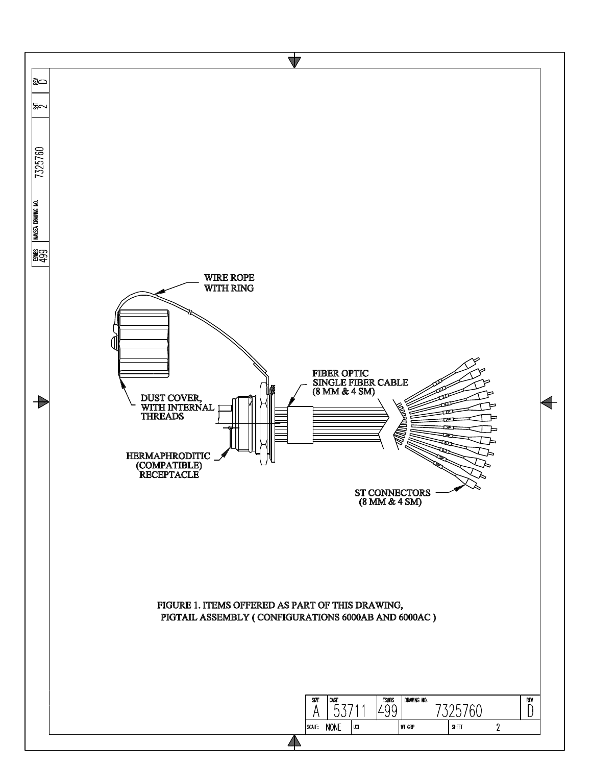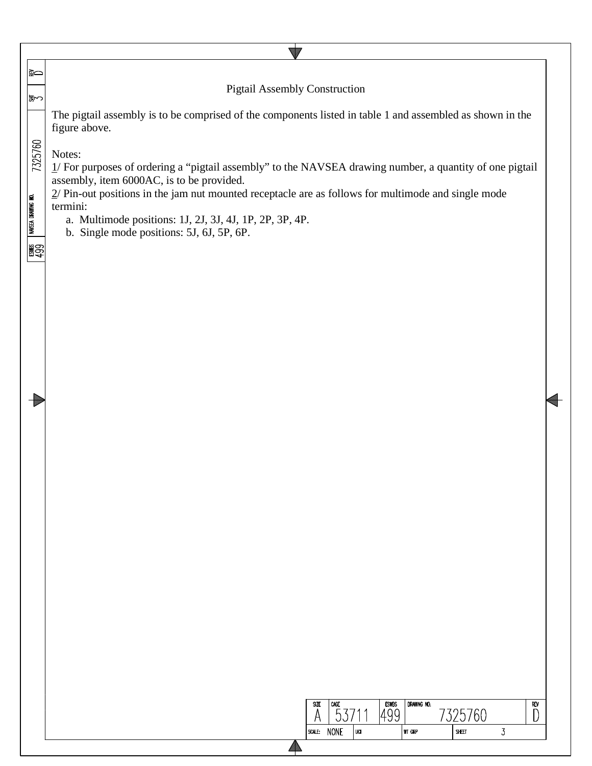| ∣≩⇔                                              |                                                                                                                                                                                                                                                                                                                                                                                                                                                                                                                            |  |
|--------------------------------------------------|----------------------------------------------------------------------------------------------------------------------------------------------------------------------------------------------------------------------------------------------------------------------------------------------------------------------------------------------------------------------------------------------------------------------------------------------------------------------------------------------------------------------------|--|
|                                                  | <b>Pigtail Assembly Construction</b>                                                                                                                                                                                                                                                                                                                                                                                                                                                                                       |  |
| ∣क्क∽<br>7325760<br>NAVSEA DRAWING NO.<br>■ 1999 | The pigtail assembly is to be comprised of the components listed in table 1 and assembled as shown in the<br>figure above.<br>Notes:<br>1/ For purposes of ordering a "pigtail assembly" to the NAVSEA drawing number, a quantity of one pigtail<br>assembly, item 6000AC, is to be provided.<br>$2/$ Pin-out positions in the jam nut mounted receptacle are as follows for multimode and single mode<br>termini:<br>a. Multimode positions: 1J, 2J, 3J, 4J, 1P, 2P, 3P, 4P.<br>b. Single mode positions: 5J, 6J, 5P, 6P. |  |
|                                                  | $\mathsf{CAGE}$<br>DRAWING NO.<br><b>SIZE</b><br><b>ESWBS</b><br>REV                                                                                                                                                                                                                                                                                                                                                                                                                                                       |  |
|                                                  | 499<br>7325760<br>53711                                                                                                                                                                                                                                                                                                                                                                                                                                                                                                    |  |
|                                                  | SCALE: NONE<br>$\overline{3}$<br>UCI<br><b>WT GRP</b><br>SHEET                                                                                                                                                                                                                                                                                                                                                                                                                                                             |  |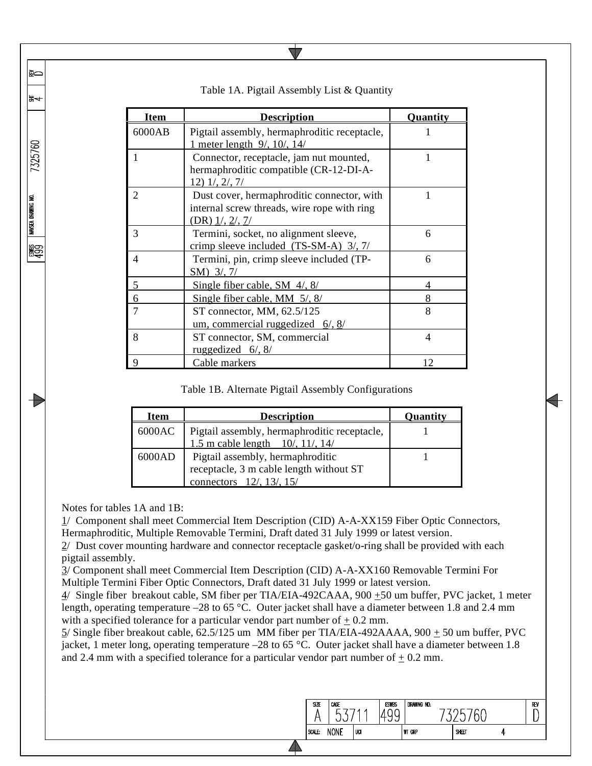| <b>Item</b>    | <b>Description</b>                                                                                                     | Quantity |
|----------------|------------------------------------------------------------------------------------------------------------------------|----------|
| 6000AB         | Pigtail assembly, hermaphroditic receptacle,<br>1 meter length $9/$ , 10/, 14/                                         |          |
|                | Connector, receptacle, jam nut mounted,<br>hermaphroditic compatible (CR-12-DI-A-<br>$12)$ $1/$ , $2/$ , $7/$          |          |
| $\overline{2}$ | Dust cover, hermaphroditic connector, with<br>internal screw threads, wire rope with ring<br>$(DR)$ $1/$ , $2/$ , $7/$ |          |
| 3              | Termini, socket, no alignment sleeve,<br>crimp sleeve included $(TS-SM-A)$ 3/, 7/                                      | 6        |
| 4              | Termini, pin, crimp sleeve included (TP-<br>SM) 3/, 7/                                                                 | 6        |
| 5              | Single fiber cable, SM $4/$ , 8/                                                                                       |          |
| 6              | Single fiber cable, MM $\frac{5}{3}$                                                                                   | 8        |
| $\overline{7}$ | ST connector, MM, 62.5/125<br>um, commercial ruggedized $6/$ , $8/$                                                    | 8        |
| 8              | ST connector, SM, commercial<br>ruggedized $6/$ , $8/$                                                                 | 4        |
| 9              | Cable markers                                                                                                          | 12       |

## Table 1A. Pigtail Assembly List & Quantity

 $\sqrt{}$ 

## Table 1B. Alternate Pigtail Assembly Configurations

| Item   | <b>Description</b>                                                               | Quantity |
|--------|----------------------------------------------------------------------------------|----------|
| 6000AC |                                                                                  |          |
|        | Pigtail assembly, hermaphroditic receptacle,<br>1.5 m cable length 10/, 11/, 14/ |          |
| 6000AD | Pigtail assembly, hermaphroditic                                                 |          |
|        | receptacle, 3 m cable length without ST                                          |          |
|        | connectors 12/, 13/, 15/                                                         |          |

Notes for tables 1A and 1B:

∣ଛ⇔

ਙ₩

7325760

WASEA DRAWING NO.

**ESC** 

1/ Component shall meet Commercial Item Description (CID) A-A-XX159 Fiber Optic Connectors, Hermaphroditic, Multiple Removable Termini, Draft dated 31 July 1999 or latest version.

2/ Dust cover mounting hardware and connector receptacle gasket/o-ring shall be provided with each pigtail assembly.

3/ Component shall meet Commercial Item Description (CID) A-A-XX160 Removable Termini For Multiple Termini Fiber Optic Connectors, Draft dated 31 July 1999 or latest version.

 $4/$  Single fiber breakout cable, SM fiber per TIA/EIA-492CAAA, 900  $\pm$ 50 um buffer, PVC jacket, 1 meter length, operating temperature –28 to 65 °C. Outer jacket shall have a diameter between 1.8 and 2.4 mm with a specified tolerance for a particular vendor part number of  $\pm$  0.2 mm.

 $5/$  Single fiber breakout cable, 62.5/125 um MM fiber per TIA/EIA-492AAAA, 900  $\pm$  50 um buffer, PVC jacket, 1 meter long, operating temperature –28 to 65 °C. Outer jacket shall have a diameter between 1.8 and 2.4 mm with a specified tolerance for a particular vendor part number of  $\pm$  0.2 mm.

| <b>NONE</b><br>SCALE: | UCI | <b>WT GRP</b> | SHEET |  |
|-----------------------|-----|---------------|-------|--|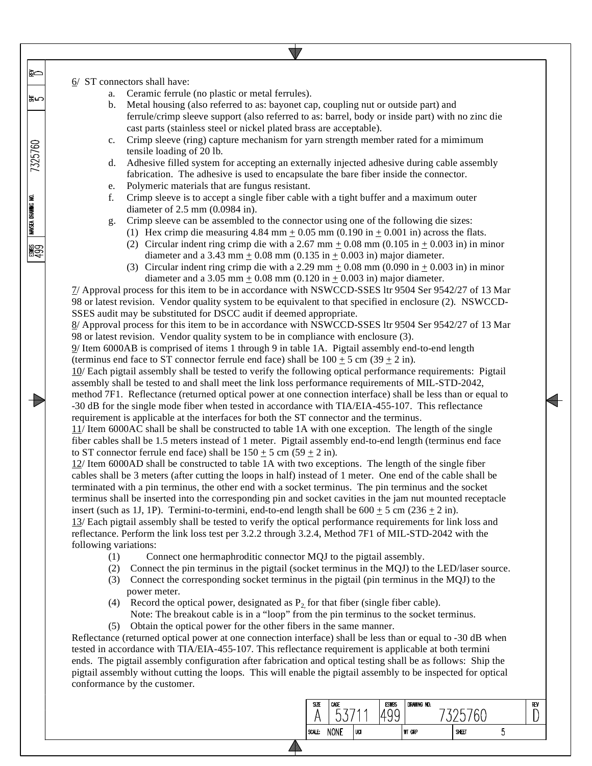6/ ST connectors shall have:

≩⇔

∣ਙ∽

7325760

**NAVSEA DRAWING NO.** 

ESMES<br>400

- a. Ceramic ferrule (no plastic or metal ferrules).
- b. Metal housing (also referred to as: bayonet cap, coupling nut or outside part) and ferrule/crimp sleeve support (also referred to as: barrel, body or inside part) with no zinc die cast parts (stainless steel or nickel plated brass are acceptable).
- c. Crimp sleeve (ring) capture mechanism for yarn strength member rated for a mimimum tensile loading of 20 lb.
- d. Adhesive filled system for accepting an externally injected adhesive during cable assembly fabrication. The adhesive is used to encapsulate the bare fiber inside the connector.
- e. Polymeric materials that are fungus resistant.
- f. Crimp sleeve is to accept a single fiber cable with a tight buffer and a maximum outer diameter of 2.5 mm (0.0984 in).
- g. Crimp sleeve can be assembled to the connector using one of the following die sizes:
	- (1) Hex crimp die measuring  $4.84$  mm  $\pm$  0.05 mm (0.190 in  $\pm$  0.001 in) across the flats.
	- (2) Circular indent ring crimp die with a 2.67 mm  $\pm$  0.08 mm (0.105 in  $\pm$  0.003 in) in minor diameter and a 3.43 mm  $\pm$  0.08 mm (0.135 in  $\pm$  0.003 in) major diameter.
	- (3) Circular indent ring crimp die with a 2.29 mm  $\pm$  0.08 mm (0.090 in  $\pm$  0.003 in) in minor diameter and a 3.05 mm  $\pm$  0.08 mm (0.120 in  $\pm$  0.003 in) major diameter.

7/ Approval process for this item to be in accordance with NSWCCD-SSES ltr 9504 Ser 9542/27 of 13 Mar 98 or latest revision. Vendor quality system to be equivalent to that specified in enclosure (2). NSWCCD-SSES audit may be substituted for DSCC audit if deemed appropriate.

8/ Approval process for this item to be in accordance with NSWCCD-SSES ltr 9504 Ser 9542/27 of 13 Mar 98 or latest revision. Vendor quality system to be in compliance with enclosure (3).

9/ Item 6000AB is comprised of items 1 through 9 in table 1A. Pigtail assembly end-to-end length (terminus end face to ST connector ferrule end face) shall be  $100 \pm 5$  cm (39  $\pm$  2 in).

10/ Each pigtail assembly shall be tested to verify the following optical performance requirements: Pigtail assembly shall be tested to and shall meet the link loss performance requirements of MIL-STD-2042, method 7F1. Reflectance (returned optical power at one connection interface) shall be less than or equal to -30 dB for the single mode fiber when tested in accordance with TIA/EIA-455-107. This reflectance requirement is applicable at the interfaces for both the ST connector and the terminus.

11/ Item 6000AC shall be shall be constructed to table 1A with one exception. The length of the single fiber cables shall be 1.5 meters instead of 1 meter. Pigtail assembly end-to-end length (terminus end face to ST connector ferrule end face) shall be  $150 \pm 5$  cm  $(59 \pm 2$  in).

12/ Item 6000AD shall be constructed to table 1A with two exceptions. The length of the single fiber cables shall be 3 meters (after cutting the loops in half) instead of 1 meter. One end of the cable shall be terminated with a pin terminus, the other end with a socket terminus. The pin terminus and the socket terminus shall be inserted into the corresponding pin and socket cavities in the jam nut mounted receptacle insert (such as 1J, 1P). Termini-to-termini, end-to-end length shall be  $600 \pm 5$  cm (236  $\pm 2$  in).

13/ Each pigtail assembly shall be tested to verify the optical performance requirements for link loss and reflectance. Perform the link loss test per 3.2.2 through 3.2.4, Method 7F1 of MIL-STD-2042 with the following variations:

- (1) Connect one hermaphroditic connector MQJ to the pigtail assembly.
- (2) Connect the pin terminus in the pigtail (socket terminus in the MQJ) to the LED/laser source.
- (3) Connect the corresponding socket terminus in the pigtail (pin terminus in the MQJ) to the power meter.
- (4) Record the optical power, designated as  $P_2$  for that fiber (single fiber cable). Note: The breakout cable is in a "loop" from the pin terminus to the socket terminus.
- (5) Obtain the optical power for the other fibers in the same manner.

Reflectance (returned optical power at one connection interface) shall be less than or equal to -30 dB when tested in accordance with TIA/EIA-455-107. This reflectance requirement is applicable at both termini ends. The pigtail assembly configuration after fabrication and optical testing shall be as follows: Ship the pigtail assembly without cutting the loops. This will enable the pigtail assembly to be inspected for optical conformance by the customer.

| SIZE | CAGE<br>∽   |     | <b>ESWBS</b> | DRAWING NO.   |       |   | REV |
|------|-------------|-----|--------------|---------------|-------|---|-----|
| ALE: | <b>NONE</b> | UCI |              | <b>WT GRP</b> | SHEET | ν |     |
|      |             |     |              |               |       |   |     |